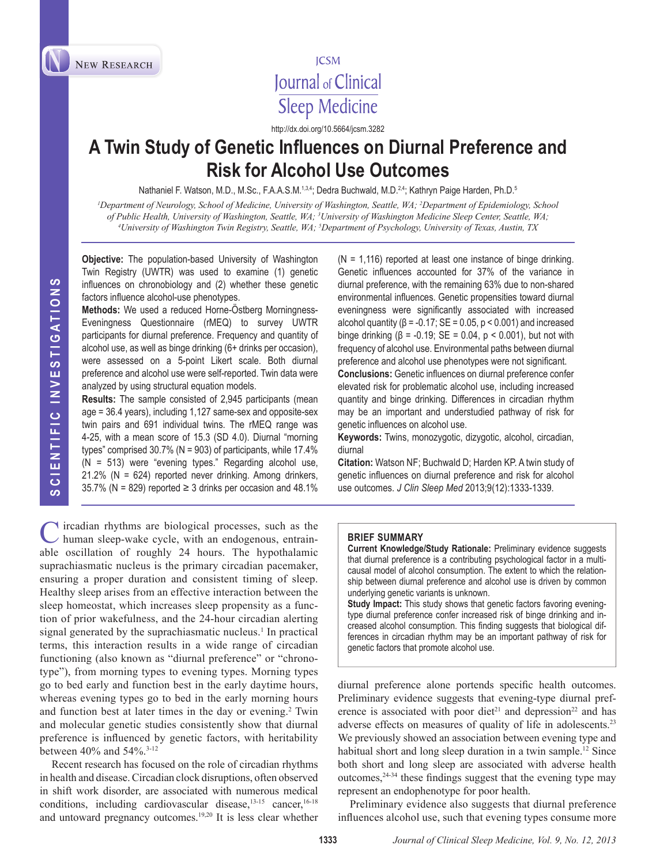

# **ICSM** Journal of Clinical **Sleep Medicine**

http://dx.doi.org/10.5664/jcsm.3282

# **A Twin Study of Genetic Influences on Diurnal Preference and Risk for Alcohol Use Outcomes**

Nathaniel F. Watson, M.D., M.Sc., F.A.A.S.M.<sup>1,3,4</sup>; Dedra Buchwald, M.D.<sup>2,4</sup>; Kathryn Paige Harden, Ph.D.<sup>5</sup>

*1 Department of Neurology, School of Medicine, University of Washington, Seattle, WA; 2 Department of Epidemiology, School of Public Health, University of Washington, Seattle, WA; <sup>3</sup>University of Washington Medicine Sleep Center, Seattle, WA;<br><sup>4</sup>University of Washington Twin Registry, Seattle, WA: <sup>5</sup>Department of Psychology, University of T University of Washington Twin Registry, Seattle, WA; 5 Department of Psychology, University of Texas, Austin, TX*

**Objective:** The population-based University of Washington Twin Registry (UWTR) was used to examine (1) genetic influences on chronobiology and (2) whether these genetic factors influence alcohol-use phenotypes.

**Methods:** We used a reduced Horne-Östberg Morningness-Eveningness Questionnaire (rMEQ) to survey UWTR participants for diurnal preference. Frequency and quantity of alcohol use, as well as binge drinking (6+ drinks per occasion), were assessed on a 5-point Likert scale. Both diurnal preference and alcohol use were self-reported. Twin data were analyzed by using structural equation models.

**Results:** The sample consisted of 2,945 participants (mean age = 36.4 years), including 1,127 same-sex and opposite-sex twin pairs and 691 individual twins. The rMEQ range was 4-25, with a mean score of 15.3 (SD 4.0). Diurnal "morning types" comprised 30.7% (N = 903) of participants, while 17.4% (N = 513) were "evening types." Regarding alcohol use,  $21.2\%$  (N = 624) reported never drinking. Among drinkers, 35.7% (N = 829) reported  $\geq$  3 drinks per occasion and 48.1%

 $\blacktriangleright$  ircadian rhythms are biological processes, such as the human sleep-wake cycle, with an endogenous, entrainable oscillation of roughly 24 hours. The hypothalamic suprachiasmatic nucleus is the primary circadian pacemaker, ensuring a proper duration and consistent timing of sleep. Healthy sleep arises from an effective interaction between the sleep homeostat, which increases sleep propensity as a function of prior wakefulness, and the 24-hour circadian alerting signal generated by the suprachiasmatic nucleus.<sup>1</sup> In practical terms, this interaction results in a wide range of circadian functioning (also known as "diurnal preference" or "chronotype"), from morning types to evening types. Morning types go to bed early and function best in the early daytime hours, whereas evening types go to bed in the early morning hours and function best at later times in the day or evening.<sup>2</sup> Twin and molecular genetic studies consistently show that diurnal preference is influenced by genetic factors, with heritability between 40% and 54%.3-12

Recent research has focused on the role of circadian rhythms in health and disease. Circadian clock disruptions, often observed in shift work disorder, are associated with numerous medical conditions, including cardiovascular disease, $13-15$  cancer,  $16-18$ and untoward pregnancy outcomes.19,20 It is less clear whether

 $(N = 1,116)$  reported at least one instance of binge drinking. Genetic influences accounted for 37% of the variance in diurnal preference, with the remaining 63% due to non-shared environmental influences. Genetic propensities toward diurnal eveningness were significantly associated with increased alcohol quantity ( $\beta$  = -0.17; SE = 0.05,  $p < 0.001$ ) and increased binge drinking ( $β = -0.19$ ; SE = 0.04,  $p < 0.001$ ), but not with frequency of alcohol use. Environmental paths between diurnal preference and alcohol use phenotypes were not significant.

**Conclusions:** Genetic influences on diurnal preference confer elevated risk for problematic alcohol use, including increased quantity and binge drinking. Differences in circadian rhythm may be an important and understudied pathway of risk for genetic influences on alcohol use.

**Keywords:** Twins, monozygotic, dizygotic, alcohol, circadian, diurnal

**Citation:** Watson NF; Buchwald D; Harden KP. A twin study of genetic influences on diurnal preference and risk for alcohol use outcomes. *J Clin Sleep Med* 2013;9(12):1333-1339.

#### **BRIEF SUMMARY**

**Current Knowledge/Study Rationale:** Preliminary evidence suggests that diurnal preference is a contributing psychological factor in a multicausal model of alcohol consumption. The extent to which the relationship between diurnal preference and alcohol use is driven by common underlying genetic variants is unknown.

**Study Impact:** This study shows that genetic factors favoring eveningtype diurnal preference confer increased risk of binge drinking and increased alcohol consumption. This finding suggests that biological differences in circadian rhythm may be an important pathway of risk for genetic factors that promote alcohol use.

diurnal preference alone portends specific health outcomes. Preliminary evidence suggests that evening-type diurnal preference is associated with poor diet<sup>21</sup> and depression<sup>22</sup> and has adverse effects on measures of quality of life in adolescents.<sup>23</sup> We previously showed an association between evening type and habitual short and long sleep duration in a twin sample.<sup>12</sup> Since both short and long sleep are associated with adverse health outcomes, $24-34$  these findings suggest that the evening type may represent an endophenotype for poor health.

Preliminary evidence also suggests that diurnal preference influences alcohol use, such that evening types consume more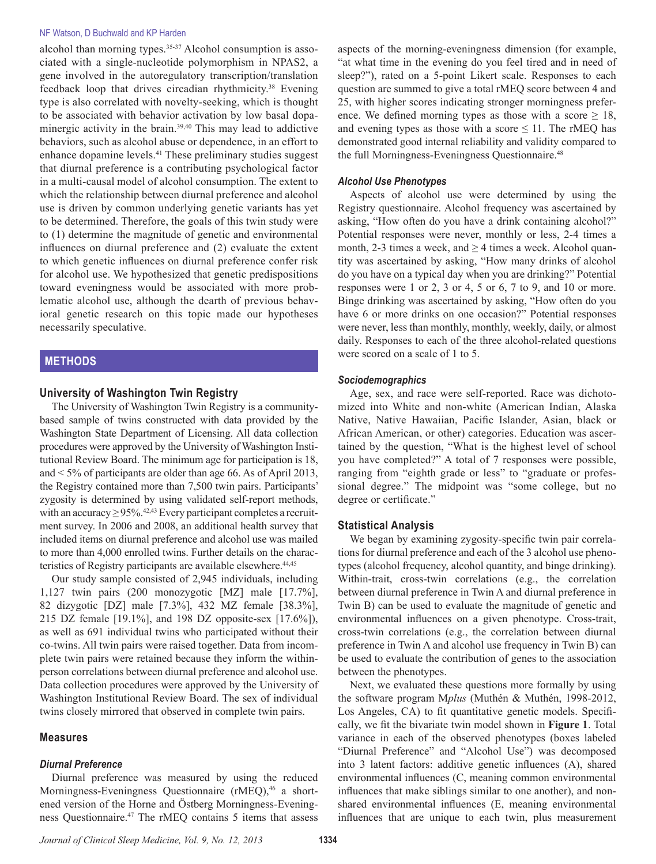#### NF Watson, D Buchwald and KP Harden

alcohol than morning types.<sup>35-37</sup> Alcohol consumption is associated with a single-nucleotide polymorphism in NPAS2, a gene involved in the autoregulatory transcription/translation feedback loop that drives circadian rhythmicity.38 Evening type is also correlated with novelty-seeking, which is thought to be associated with behavior activation by low basal dopaminergic activity in the brain.39,40 This may lead to addictive behaviors, such as alcohol abuse or dependence, in an effort to enhance dopamine levels.<sup>41</sup> These preliminary studies suggest that diurnal preference is a contributing psychological factor in a multi-causal model of alcohol consumption. The extent to which the relationship between diurnal preference and alcohol use is driven by common underlying genetic variants has yet to be determined. Therefore, the goals of this twin study were to (1) determine the magnitude of genetic and environmental influences on diurnal preference and (2) evaluate the extent to which genetic influences on diurnal preference confer risk for alcohol use. We hypothesized that genetic predispositions toward eveningness would be associated with more problematic alcohol use, although the dearth of previous behavioral genetic research on this topic made our hypotheses necessarily speculative.

## **METHODS**

## **University of Washington Twin Registry**

The University of Washington Twin Registry is a communitybased sample of twins constructed with data provided by the Washington State Department of Licensing. All data collection procedures were approved by the University of Washington Institutional Review Board. The minimum age for participation is 18, and < 5% of participants are older than age 66. As of April 2013, the Registry contained more than 7,500 twin pairs. Participants' zygosity is determined by using validated self-report methods, with an accuracy  $\geq$  95%.<sup>42,43</sup> Every participant completes a recruitment survey. In 2006 and 2008, an additional health survey that included items on diurnal preference and alcohol use was mailed to more than 4,000 enrolled twins. Further details on the characteristics of Registry participants are available elsewhere.<sup>44,45</sup>

Our study sample consisted of 2,945 individuals, including 1,127 twin pairs (200 monozygotic [MZ] male [17.7%], 82 dizygotic [DZ] male [7.3%], 432 MZ female [38.3%], 215 DZ female [19.1%], and 198 DZ opposite-sex [17.6%]), as well as 691 individual twins who participated without their co-twins. All twin pairs were raised together. Data from incomplete twin pairs were retained because they inform the withinperson correlations between diurnal preference and alcohol use. Data collection procedures were approved by the University of Washington Institutional Review Board. The sex of individual twins closely mirrored that observed in complete twin pairs.

### **Measures**

#### *Diurnal Preference*

Diurnal preference was measured by using the reduced Morningness-Eveningness Questionnaire (rMEQ),<sup>46</sup> a shortened version of the Horne and Östberg Morningness-Eveningness Questionnaire.47 The rMEQ contains 5 items that assess aspects of the morning-eveningness dimension (for example, "at what time in the evening do you feel tired and in need of sleep?"), rated on a 5-point Likert scale. Responses to each question are summed to give a total rMEQ score between 4 and 25, with higher scores indicating stronger morningness preference. We defined morning types as those with a score  $\geq 18$ , and evening types as those with a score  $\leq$  11. The rMEQ has demonstrated good internal reliability and validity compared to the full Morningness-Eveningness Questionnaire.<sup>48</sup>

#### *Alcohol Use Phenotypes*

Aspects of alcohol use were determined by using the Registry questionnaire. Alcohol frequency was ascertained by asking, "How often do you have a drink containing alcohol?" Potential responses were never, monthly or less, 2-4 times a month, 2-3 times a week, and  $\geq$  4 times a week. Alcohol quantity was ascertained by asking, "How many drinks of alcohol do you have on a typical day when you are drinking?" Potential responses were 1 or 2, 3 or 4, 5 or 6, 7 to 9, and 10 or more. Binge drinking was ascertained by asking, "How often do you have 6 or more drinks on one occasion?" Potential responses were never, less than monthly, monthly, weekly, daily, or almost daily. Responses to each of the three alcohol-related questions were scored on a scale of 1 to 5.

#### *Sociodemographics*

Age, sex, and race were self-reported. Race was dichotomized into White and non-white (American Indian, Alaska Native, Native Hawaiian, Pacific Islander, Asian, black or African American, or other) categories. Education was ascertained by the question, "What is the highest level of school you have completed?" A total of 7 responses were possible, ranging from "eighth grade or less" to "graduate or professional degree." The midpoint was "some college, but no degree or certificate."

## **Statistical Analysis**

We began by examining zygosity-specific twin pair correlations for diurnal preference and each of the 3 alcohol use phenotypes (alcohol frequency, alcohol quantity, and binge drinking). Within-trait, cross-twin correlations (e.g., the correlation between diurnal preference in Twin A and diurnal preference in Twin B) can be used to evaluate the magnitude of genetic and environmental influences on a given phenotype. Cross-trait, cross-twin correlations (e.g., the correlation between diurnal preference in Twin A and alcohol use frequency in Twin B) can be used to evaluate the contribution of genes to the association between the phenotypes.

Next, we evaluated these questions more formally by using the software program M*plus* (Muthén & Muthén, 1998-2012, Los Angeles, CA) to fit quantitative genetic models. Specifically, we fit the bivariate twin model shown in **Figure 1**. Total variance in each of the observed phenotypes (boxes labeled "Diurnal Preference" and "Alcohol Use") was decomposed into 3 latent factors: additive genetic influences (A), shared environmental influences (C, meaning common environmental influences that make siblings similar to one another), and nonshared environmental influences (E, meaning environmental influences that are unique to each twin, plus measurement

*Journal of Clinical Sleep Medicine, Vol. 9, No. 12, 2013* **1334**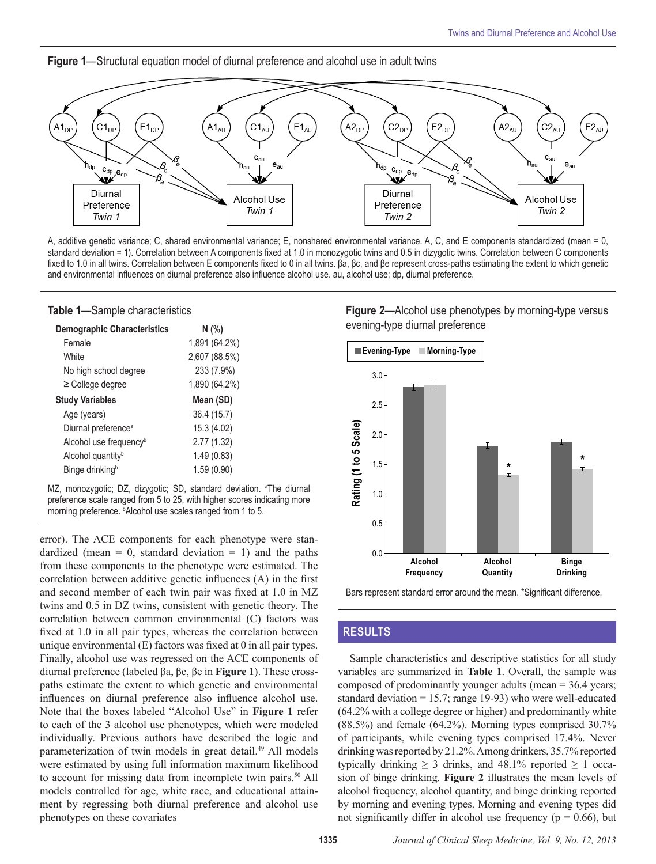



A, additive genetic variance; C, shared environmental variance; E, nonshared environmental variance. A, C, and E components standardized (mean = 0, standard deviation = 1). Correlation between A components fixed at 1.0 in monozygotic twins and 0.5 in dizygotic twins. Correlation between C components fixed to 1.0 in all twins. Correlation between E components fixed to 0 in all twins. βa, βc, and βe represent cross-paths estimating the extent to which genetic and environmental influences on diurnal preference also influence alcohol use. au, alcohol use; dp, diurnal preference.

#### **Table 1**—Sample characteristics

| <b>Demographic Characteristics</b> | N(% )         |
|------------------------------------|---------------|
| Female                             | 1,891 (64.2%) |
| White                              | 2,607 (88.5%) |
| No high school degree              | 233 (7.9%)    |
| $\geq$ College degree              | 1,890 (64.2%) |
| <b>Study Variables</b>             | Mean (SD)     |
| Age (years)                        | 36.4 (15.7)   |
| Diurnal preference <sup>a</sup>    | 15.3 (4.02)   |
| Alcohol use frequency <sup>b</sup> | 2.77 (1.32)   |
| Alcohol quantity <sup>b</sup>      | 1.49(0.83)    |
| Binge drinking <sup>b</sup>        | 1.59(0.90)    |

MZ, monozygotic; DZ, dizygotic; SD, standard deviation. <sup>a</sup>The diurnal preference scale ranged from 5 to 25, with higher scores indicating more morning preference. **bAlcohol use scales ranged from 1 to 5**.

error). The ACE components for each phenotype were standardized (mean = 0, standard deviation = 1) and the paths from these components to the phenotype were estimated. The correlation between additive genetic influences (A) in the first and second member of each twin pair was fixed at 1.0 in MZ twins and 0.5 in DZ twins, consistent with genetic theory. The correlation between common environmental (C) factors was fixed at 1.0 in all pair types, whereas the correlation between unique environmental (E) factors was fixed at 0 in all pair types. Finally, alcohol use was regressed on the ACE components of diurnal preference (labeled βa, βc, βe in **Figure 1**). These crosspaths estimate the extent to which genetic and environmental influences on diurnal preference also influence alcohol use. Note that the boxes labeled "Alcohol Use" in **Figure 1** refer to each of the 3 alcohol use phenotypes, which were modeled individually. Previous authors have described the logic and parameterization of twin models in great detail.<sup>49</sup> All models were estimated by using full information maximum likelihood to account for missing data from incomplete twin pairs.<sup>50</sup> All models controlled for age, white race, and educational attainment by regressing both diurnal preference and alcohol use phenotypes on these covariates

# **Figure 2**—Alcohol use phenotypes by morning-type versus evening-type diurnal preference





## **RESULTS**

Sample characteristics and descriptive statistics for all study variables are summarized in **Table 1**. Overall, the sample was composed of predominantly younger adults (mean = 36.4 years; standard deviation  $= 15.7$ ; range 19-93) who were well-educated (64.2% with a college degree or higher) and predominantly white (88.5%) and female (64.2%). Morning types comprised 30.7% of participants, while evening types comprised 17.4%. Never drinking was reported by 21.2%. Among drinkers, 35.7% reported typically drinking  $\geq$  3 drinks, and 48.1% reported  $\geq$  1 occasion of binge drinking. **Figure 2** illustrates the mean levels of alcohol frequency, alcohol quantity, and binge drinking reported by morning and evening types. Morning and evening types did not significantly differ in alcohol use frequency ( $p = 0.66$ ), but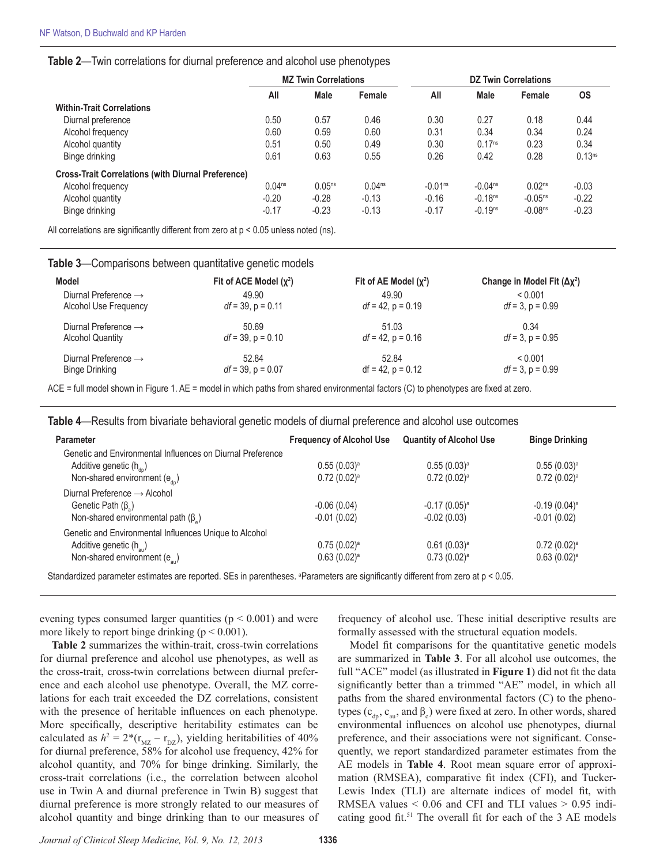## **Table 2**—Twin correlations for diurnal preference and alcohol use phenotypes

|                                                           | <b>MZ Twin Correlations</b> |             | <b>DZ Twin Correlations</b> |           |                    |                       |                    |
|-----------------------------------------------------------|-----------------------------|-------------|-----------------------------|-----------|--------------------|-----------------------|--------------------|
|                                                           | All                         | <b>Male</b> | Female                      | All       | <b>Male</b>        | Female                | <b>OS</b>          |
| <b>Within-Trait Correlations</b>                          |                             |             |                             |           |                    |                       |                    |
| Diurnal preference                                        | 0.50                        | 0.57        | 0.46                        | 0.30      | 0.27               | 0.18                  | 0.44               |
| Alcohol frequency                                         | 0.60                        | 0.59        | 0.60                        | 0.31      | 0.34               | 0.34                  | 0.24               |
| Alcohol quantity                                          | 0.51                        | 0.50        | 0.49                        | 0.30      | 0.17 <sup>ns</sup> | 0.23                  | 0.34               |
| Binge drinking                                            | 0.61                        | 0.63        | 0.55                        | 0.26      | 0.42               | 0.28                  | 0.13 <sup>ns</sup> |
| <b>Cross-Trait Correlations (with Diurnal Preference)</b> |                             |             |                             |           |                    |                       |                    |
| Alcohol frequency                                         | 0.04 <sup>ns</sup>          | $0.05^{ns}$ | 0.04 <sup>ns</sup>          | $-0.01ns$ | $-0.04ns$          | 0.02 <sup>ns</sup>    | $-0.03$            |
| Alcohol quantity                                          | $-0.20$                     | $-0.28$     | $-0.13$                     | $-0.16$   | $-0.18ns$          | $-0.05$ <sup>ns</sup> | $-0.22$            |
| Binge drinking                                            | $-0.17$                     | $-0.23$     | $-0.13$                     | $-0.17$   | $-0.19ns$          | $-0.08ns$             | $-0.23$            |

All correlations are significantly different from zero at p < 0.05 unless noted (ns).

| Change in Model Fit $(\Delta x^2)$<br>< 0.001 |
|-----------------------------------------------|
|                                               |
|                                               |
| $df = 3$ , $p = 0.99$                         |
| 0.34                                          |
| $df = 3$ , p = 0.95                           |
| < 0.001                                       |
| $df = 3$ , $p = 0.99$                         |
|                                               |

**Table 3**—Comparisons between quantitative genetic models

ACE = full model shown in Figure 1. AE = model in which paths from shared environmental factors (C) to phenotypes are fixed at zero.

**Table 4**—Results from bivariate behavioral genetic models of diurnal preference and alcohol use outcomes

| <b>Parameter</b>                                           | <b>Frequency of Alcohol Use</b> | <b>Quantity of Alcohol Use</b> | <b>Binge Drinking</b>      |
|------------------------------------------------------------|---------------------------------|--------------------------------|----------------------------|
| Genetic and Environmental Influences on Diurnal Preference |                                 |                                |                            |
| Additive genetic $(h_{\text{dn}})$                         | $0.55(0.03)^a$                  | $0.55(0.03)^a$                 | $0.55(0.03)^a$             |
| Non-shared environment $(e_{\alpha})$                      | $0.72(0.02)^a$                  | $0.72(0.02)^a$                 | $0.72(0.02)^a$             |
| Diurnal Preference $\rightarrow$ Alcohol                   |                                 |                                |                            |
| Genetic Path $(\beta_2)$                                   | $-0.06(0.04)$                   | $-0.17(0.05)$ <sup>a</sup>     | $-0.19(0.04)$ <sup>a</sup> |
| Non-shared environmental path $(\beta_*)$                  | $-0.01(0.02)$                   | $-0.02(0.03)$                  | $-0.01(0.02)$              |
| Genetic and Environmental Influences Unique to Alcohol     |                                 |                                |                            |
| Additive genetic (h <sub>au</sub> )                        | $0.75(0.02)^a$                  | $0.61(0.03)^a$                 | $0.72(0.02)^a$             |
| Non-shared environment $(e_{\text{av}})$                   | $0.63(0.02)^a$                  | $0.73(0.02)^a$                 | $0.63(0.02)^a$             |
|                                                            |                                 |                                |                            |

Standardized parameter estimates are reported. SEs in parentheses. <sup>a</sup>Parameters are significantly different from zero at p < 0.05.

evening types consumed larger quantities ( $p < 0.001$ ) and were more likely to report binge drinking ( $p \le 0.001$ ).

**Table 2** summarizes the within-trait, cross-twin correlations for diurnal preference and alcohol use phenotypes, as well as the cross-trait, cross-twin correlations between diurnal preference and each alcohol use phenotype. Overall, the MZ correlations for each trait exceeded the DZ correlations, consistent with the presence of heritable influences on each phenotype. More specifically, descriptive heritability estimates can be calculated as  $h^2 = 2*(r_{MZ} - r_{DZ})$ , yielding heritabilities of 40% for diurnal preference, 58% for alcohol use frequency, 42% for alcohol quantity, and 70% for binge drinking. Similarly, the cross-trait correlations (i.e., the correlation between alcohol use in Twin A and diurnal preference in Twin B) suggest that diurnal preference is more strongly related to our measures of alcohol quantity and binge drinking than to our measures of

frequency of alcohol use. These initial descriptive results are formally assessed with the structural equation models.

Model fit comparisons for the quantitative genetic models are summarized in **Table 3**. For all alcohol use outcomes, the full "ACE" model (as illustrated in **Figure 1**) did not fit the data significantly better than a trimmed "AE" model, in which all paths from the shared environmental factors (C) to the phenotypes ( $c_{\text{dp}}$ ,  $c_{\text{au}}$ , and  $\beta_c$ ) were fixed at zero. In other words, shared environmental influences on alcohol use phenotypes, diurnal preference, and their associations were not significant. Consequently, we report standardized parameter estimates from the AE models in **Table 4**. Root mean square error of approximation (RMSEA), comparative fit index (CFI), and Tucker-Lewis Index (TLI) are alternate indices of model fit, with RMSEA values  $< 0.06$  and CFI and TLI values  $> 0.95$  indicating good fit.<sup>51</sup> The overall fit for each of the 3 AE models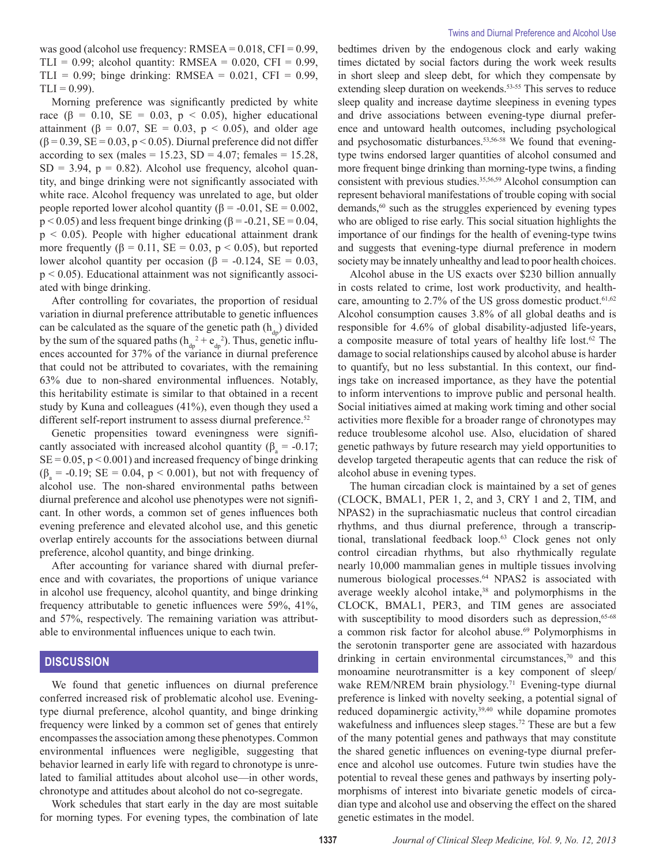was good (alcohol use frequency: RMSEA = 0.018, CFI = 0.99, TLI =  $0.99$ ; alcohol quantity: RMSEA =  $0.020$ , CFI =  $0.99$ , TLI =  $0.99$ ; binge drinking: RMSEA =  $0.021$ , CFI =  $0.99$ ,  $TLI = 0.99$ ).

Morning preference was significantly predicted by white race ( $\beta$  = 0.10, SE = 0.03, p < 0.05), higher educational attainment ( $\beta$  = 0.07, SE = 0.03, p < 0.05), and older age  $(\beta = 0.39, SE = 0.03, p < 0.05)$ . Diurnal preference did not differ according to sex (males =  $15.23$ , SD =  $4.07$ ; females =  $15.28$ ,  $SD = 3.94$ ,  $p = 0.82$ ). Alcohol use frequency, alcohol quantity, and binge drinking were not significantly associated with white race. Alcohol frequency was unrelated to age, but older people reported lower alcohol quantity ( $β = -0.01$ ,  $SE = 0.002$ ,  $p < 0.05$ ) and less frequent binge drinking ( $\beta = -0.21$ ,  $SE = 0.04$ ,  $p < 0.05$ ). People with higher educational attainment drank more frequently  $(\beta = 0.11, SE = 0.03, p < 0.05)$ , but reported lower alcohol quantity per occasion ( $\beta$  = -0.124, SE = 0.03,  $p < 0.05$ ). Educational attainment was not significantly associated with binge drinking.

After controlling for covariates, the proportion of residual variation in diurnal preference attributable to genetic influences can be calculated as the square of the genetic path  $(h_{d*h*})$  divided by the sum of the squared paths  $(h_{dp}^2 + e_{dp}^2)$ . Thus, genetic influences accounted for 37% of the variance in diurnal preference that could not be attributed to covariates, with the remaining 63% due to non-shared environmental influences. Notably, this heritability estimate is similar to that obtained in a recent study by Kuna and colleagues (41%), even though they used a different self-report instrument to assess diurnal preference.<sup>52</sup>

Genetic propensities toward eveningness were significantly associated with increased alcohol quantity ( $\beta_a = -0.17$ ;  $SE = 0.05$ ,  $p < 0.001$ ) and increased frequency of binge drinking  $(\beta_a = -0.19; SE = 0.04, p < 0.001)$ , but not with frequency of alcohol use. The non-shared environmental paths between diurnal preference and alcohol use phenotypes were not significant. In other words, a common set of genes influences both evening preference and elevated alcohol use, and this genetic overlap entirely accounts for the associations between diurnal preference, alcohol quantity, and binge drinking.

After accounting for variance shared with diurnal preference and with covariates, the proportions of unique variance in alcohol use frequency, alcohol quantity, and binge drinking frequency attributable to genetic influences were 59%, 41%, and 57%, respectively. The remaining variation was attributable to environmental influences unique to each twin.

# **DISCUSSION**

We found that genetic influences on diurnal preference conferred increased risk of problematic alcohol use. Eveningtype diurnal preference, alcohol quantity, and binge drinking frequency were linked by a common set of genes that entirely encompasses the association among these phenotypes. Common environmental influences were negligible, suggesting that behavior learned in early life with regard to chronotype is unrelated to familial attitudes about alcohol use—in other words, chronotype and attitudes about alcohol do not co-segregate.

Work schedules that start early in the day are most suitable for morning types. For evening types, the combination of late

bedtimes driven by the endogenous clock and early waking times dictated by social factors during the work week results in short sleep and sleep debt, for which they compensate by extending sleep duration on weekends.<sup>53-55</sup> This serves to reduce sleep quality and increase daytime sleepiness in evening types and drive associations between evening-type diurnal preference and untoward health outcomes, including psychological and psychosomatic disturbances.<sup>53,56-58</sup> We found that eveningtype twins endorsed larger quantities of alcohol consumed and more frequent binge drinking than morning-type twins, a finding consistent with previous studies.<sup>35,56,59</sup> Alcohol consumption can represent behavioral manifestations of trouble coping with social demands,<sup>60</sup> such as the struggles experienced by evening types who are obliged to rise early. This social situation highlights the importance of our findings for the health of evening-type twins and suggests that evening-type diurnal preference in modern society may be innately unhealthy and lead to poor health choices.

Alcohol abuse in the US exacts over \$230 billion annually in costs related to crime, lost work productivity, and healthcare, amounting to  $2.7\%$  of the US gross domestic product.<sup>61,62</sup> Alcohol consumption causes 3.8% of all global deaths and is responsible for 4.6% of global disability-adjusted life-years, a composite measure of total years of healthy life lost.<sup>62</sup> The damage to social relationships caused by alcohol abuse is harder to quantify, but no less substantial. In this context, our findings take on increased importance, as they have the potential to inform interventions to improve public and personal health. Social initiatives aimed at making work timing and other social activities more flexible for a broader range of chronotypes may reduce troublesome alcohol use. Also, elucidation of shared genetic pathways by future research may yield opportunities to develop targeted therapeutic agents that can reduce the risk of alcohol abuse in evening types.

The human circadian clock is maintained by a set of genes (CLOCK, BMAL1, PER 1, 2, and 3, CRY 1 and 2, TIM, and NPAS2) in the suprachiasmatic nucleus that control circadian rhythms, and thus diurnal preference, through a transcriptional, translational feedback loop.<sup>63</sup> Clock genes not only control circadian rhythms, but also rhythmically regulate nearly 10,000 mammalian genes in multiple tissues involving numerous biological processes.<sup>64</sup> NPAS2 is associated with average weekly alcohol intake,<sup>38</sup> and polymorphisms in the CLOCK, BMAL1, PER3, and TIM genes are associated with susceptibility to mood disorders such as depression,<sup>65-68</sup> a common risk factor for alcohol abuse.<sup>69</sup> Polymorphisms in the serotonin transporter gene are associated with hazardous drinking in certain environmental circumstances,<sup>70</sup> and this monoamine neurotransmitter is a key component of sleep/ wake REM/NREM brain physiology.<sup>71</sup> Evening-type diurnal preference is linked with novelty seeking, a potential signal of reduced dopaminergic activity,<sup>39,40</sup> while dopamine promotes wakefulness and influences sleep stages.<sup>72</sup> These are but a few of the many potential genes and pathways that may constitute the shared genetic influences on evening-type diurnal preference and alcohol use outcomes. Future twin studies have the potential to reveal these genes and pathways by inserting polymorphisms of interest into bivariate genetic models of circadian type and alcohol use and observing the effect on the shared genetic estimates in the model.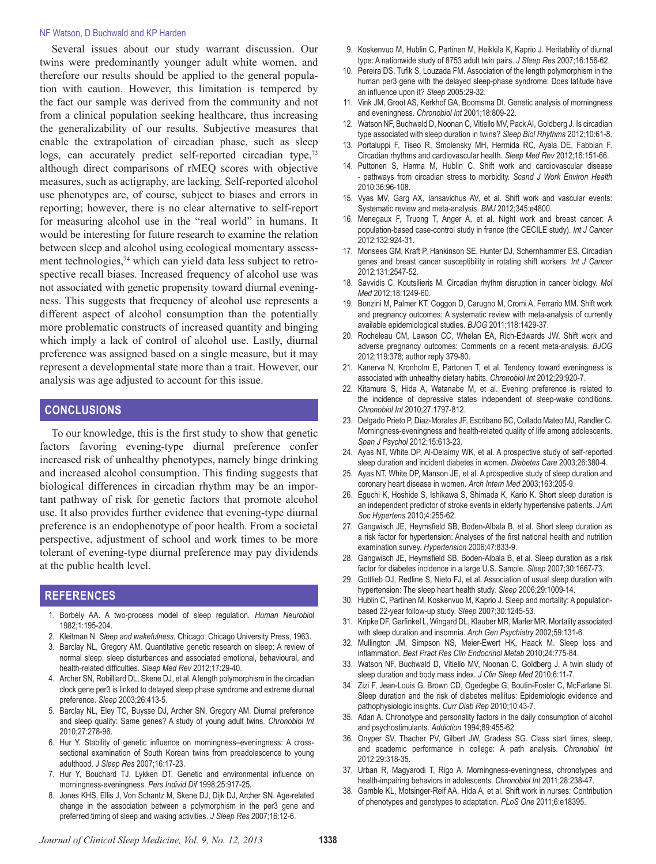#### NF Watson, D Buchwald and KP Harden

Several issues about our study warrant discussion. Our twins were predominantly younger adult white women, and therefore our results should be applied to the general population with caution. However, this limitation is tempered by the fact our sample was derived from the community and not from a clinical population seeking healthcare, thus increasing the generalizability of our results. Subjective measures that enable the extrapolation of circadian phase, such as sleep logs, can accurately predict self-reported circadian type,<sup>73</sup> although direct comparisons of rMEQ scores with objective measures, such as actigraphy, are lacking. Self-reported alcohol use phenotypes are, of course, subject to biases and errors in reporting; however, there is no clear alternative to self-report for measuring alcohol use in the "real world" in humans. It would be interesting for future research to examine the relation between sleep and alcohol using ecological momentary assessment technologies, $74$  which can yield data less subject to retrospective recall biases. Increased frequency of alcohol use was not associated with genetic propensity toward diurnal eveningness. This suggests that frequency of alcohol use represents a different aspect of alcohol consumption than the potentially more problematic constructs of increased quantity and binging which imply a lack of control of alcohol use. Lastly, diurnal preference was assigned based on a single measure, but it may represent a developmental state more than a trait. However, our analysis was age adjusted to account for this issue.

# **CONCLUSIONS**

To our knowledge, this is the first study to show that genetic factors favoring evening-type diurnal preference confer increased risk of unhealthy phenotypes, namely binge drinking and increased alcohol consumption. This finding suggests that biological differences in circadian rhythm may be an important pathway of risk for genetic factors that promote alcohol use. It also provides further evidence that evening-type diurnal preference is an endophenotype of poor health. From a societal perspective, adjustment of school and work times to be more tolerant of evening-type diurnal preference may pay dividends at the public health level.

## **REFERENCES**

- 1. Borbély AA. A two-process model of sleep regulation. *Human Neurobio*l 1982;1:195-204.
- 2. Kleitman N. *Sleep and wakefulness*. Chicago: Chicago University Press, 1963.
- 3. Barclay NL, Gregory AM. Quantitative genetic research on sleep: A review of normal sleep, sleep disturbances and associated emotional, behavioural, and health-related difficulties. *Sleep Med Rev* 2012;17:29-40.
- 4. Archer SN, Robilliard DL, Skene DJ, et al. A length polymorphism in the circadian clock gene per3 is linked to delayed sleep phase syndrome and extreme diurnal preference. *Sleep* 2003;26:413-5.
- 5. Barclay NL, Eley TC, Buysse DJ, Archer SN, Gregory AM. Diurnal preference and sleep quality: Same genes? A study of young adult twins. *Chronobiol Int* 2010;27:278-96.
- 6. Hur Y. Stability of genetic influence on morningness–eveningness: A crosssectional examination of South Korean twins from preadolescence to young adulthood. *J Sleep Res* 2007;16:17-23.
- 7. Hur Y, Bouchard TJ, Lykken DT. Genetic and environmental influence on morningness-eveningness. *Pers Individ Dif* 1998;25:917-25.
- 8. Jones KHS, Ellis J, Von Schantz M, Skene DJ, Dijk DJ, Archer SN. Age-related change in the association between a polymorphism in the per3 gene and preferred timing of sleep and waking activities. *J Sleep Res* 2007;16:12-6.
- 9. Koskenvuo M, Hublin C, Partinen M, Heikkila K, Kaprio J. Heritability of diurnal type: A nationwide study of 8753 adult twin pairs. *J Sleep Res* 2007;16:156-62.
- 10. Pereira DS, Tufik S, Louzada FM. Association of the length polymorphism in the human per3 gene with the delayed sleep-phase syndrome: Does latitude have an influence upon it? *Sleep* 2005:29-32.
- 11. Vink JM, Groot AS, Kerkhof GA, Boomsma DI. Genetic analysis of morningness and eveningness. *Chronobiol Int* 2001;18:809-22.
- Watson NF, Buchwald D, Noonan C, Vitiello MV, Pack AI, Goldberg J. Is circadian type associated with sleep duration in twins? *Sleep Biol Rhythms* 2012;10:61-8.
- 13. Portaluppi F, Tiseo R, Smolensky MH, Hermida RC, Ayala DE, Fabbian F. Circadian rhythms and cardiovascular health. *Sleep Med Rev* 2012;16:151-66.
- 14. Puttonen S, Harma M, Hublin C. Shift work and cardiovascular disease - pathways from circadian stress to morbidity. *Scand J Work Environ Health* 2010;36:96-108.
- 15. Vyas MV, Garg AX, Iansavichus AV, et al. Shift work and vascular events: Systematic review and meta-analysis. *BMJ* 2012;345:e4800.
- 16. Menegaux F, Truong T, Anger A, et al. Night work and breast cancer: A population-based case-control study in france (the CECILE study). *Int J Cancer* 2012;132:924-31.
- 17. Monsees GM, Kraft P, Hankinson SE, Hunter DJ, Schernhammer ES. Circadian genes and breast cancer susceptibility in rotating shift workers. *Int J Cancer* 2012;131:2547-52.
- 18. Savvidis C, Koutsilieris M. Circadian rhythm disruption in cancer biology. *Mol Med* 2012;18:1249-60.
- 19. Bonzini M, Palmer KT, Coggon D, Carugno M, Cromi A, Ferrario MM. Shift work and pregnancy outcomes: A systematic review with meta-analysis of currently available epidemiological studies. *BJOG* 2011;118:1429-37.
- 20. Rocheleau CM, Lawson CC, Whelan EA, Rich-Edwards JW. Shift work and adverse pregnancy outcomes: Comments on a recent meta-analysis. *BJOG* 2012;119:378; author reply 379-80.
- 21. Kanerva N, Kronholm E, Partonen T, et al. Tendency toward eveningness is associated with unhealthy dietary habits. *Chronobiol Int* 2012;29:920-7.
- 22. Kitamura S, Hida A, Watanabe M, et al. Evening preference is related to the incidence of depressive states independent of sleep-wake conditions. *Chronobiol Int* 2010;27:1797-812.
- 23. Delgado Prieto P, Diaz-Morales JF, Escribano BC, Collado Mateo MJ, Randler C. Morningness-eveningness and health-related quality of life among adolescents. *Span J Psychol* 2012;15:613-23.
- 24. Ayas NT, White DP, Al-Delaimy WK, et al. A prospective study of self-reported sleep duration and incident diabetes in women. *Diabetes Care* 2003;26:380-4.
- 25. Ayas NT, White DP, Manson JE, et al. A prospective study of sleep duration and coronary heart disease in women. *Arch Intern Med* 2003;163:205-9.
- 26. Eguchi K, Hoshide S, Ishikawa S, Shimada K, Kario K. Short sleep duration is an independent predictor of stroke events in elderly hypertensive patients. *J Am Soc Hypertens* 2010;4:255-62.
- 27. Gangwisch JE, Heymsfield SB, Boden-Albala B, et al. Short sleep duration as a risk factor for hypertension: Analyses of the first national health and nutrition examination survey. *Hypertension* 2006;47:833-9.
- 28. Gangwisch JE, Heymsfield SB, Boden-Albala B, et al. Sleep duration as a risk factor for diabetes incidence in a large U.S. Sample. *Sleep* 2007;30:1667-73.
- 29. Gottlieb DJ, Redline S, Nieto FJ, et al. Association of usual sleep duration with hypertension: The sleep heart health study. *Sleep* 2006;29:1009-14.
- 30. Hublin C, Partinen M, Koskenvuo M, Kaprio J. Sleep and mortality: A populationbased 22-year follow-up study. *Sleep* 2007;30:1245-53.
- 31. Kripke DF, Garfinkel L, Wingard DL, Klauber MR, Marler MR. Mortality associated with sleep duration and insomnia. *Arch Gen Psychiatry* 2002;59:131-6.
- 32. Mullington JM, Simpson NS, Meier-Ewert HK, Haack M. Sleep loss and inflammation. *Best Pract Res Clin Endocrinol Metab* 2010;24:775-84.
- 33. Watson NF, Buchwald D, Vitiello MV, Noonan C, Goldberg J. A twin study of sleep duration and body mass index. *J Clin Sleep Med* 2010;6:11-7.
- 34. Zizi F, Jean-Louis G, Brown CD, Ogedegbe G, Boutin-Foster C, McFarlane SI. Sleep duration and the risk of diabetes mellitus: Epidemiologic evidence and pathophysiologic insights. *Curr Diab Rep* 2010;10:43-7.
- 35. Adan A. Chronotype and personality factors in the daily consumption of alcohol and psychostimulants. *Addiction* 1994;89:455-62.
- 36. Onyper SV, Thacher PV, Gilbert JW, Gradess SG. Class start times, sleep, and academic performance in college: A path analysis. *Chronobiol Int* 2012;29:318-35.
- 37. Urban R, Magyarodi T, Rigo A. Morningness-eveningness, chronotypes and health-impairing behaviors in adolescents. *Chronobiol Int* 2011;28:238-47.
- 38. Gamble KL, Motsinger-Reif AA, Hida A, et al. Shift work in nurses: Contribution of phenotypes and genotypes to adaptation. *PLoS One* 2011;6:e18395.